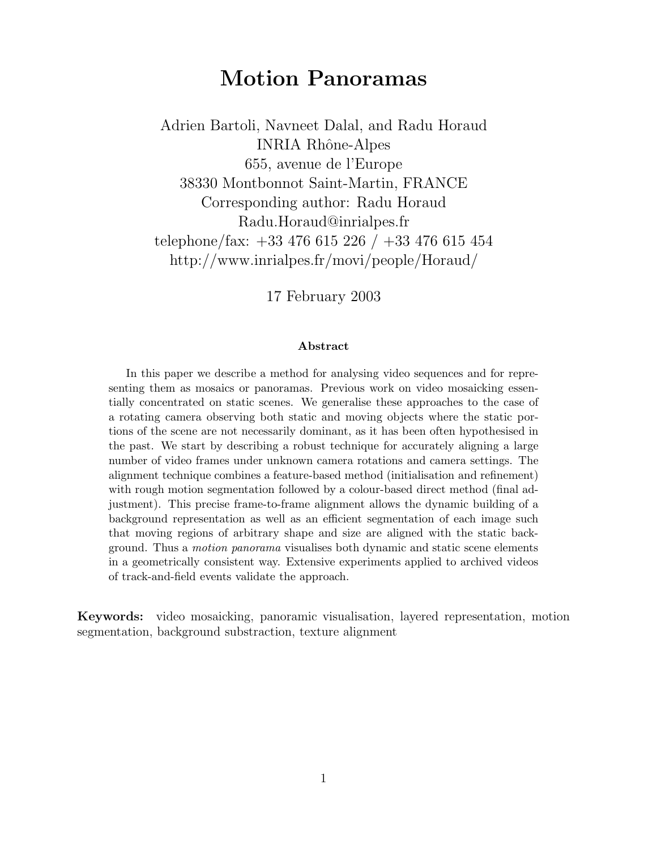# **Motion Panoramas**

Adrien Bartoli, Navneet Dalal, and Radu Horaud INRIA Rhône-Alpes 655, avenue de l'Europe 38330 Montbonnot Saint-Martin, FRANCE Corresponding author: Radu Horaud Radu.Horaud@inrialpes.fr telephone/fax: +33 476 615 226 / +33 476 615 454 http://www.inrialpes.fr/movi/people/Horaud/

17 February 2003

#### **Abstract**

In this paper we describe a method for analysing video sequences and for representing them as mosaics or panoramas. Previous work on video mosaicking essentially concentrated on static scenes. We generalise these approaches to the case of a rotating camera observing both static and moving objects where the static portions of the scene are not necessarily dominant, as it has been often hypothesised in the past. We start by describing a robust technique for accurately aligning a large number of video frames under unknown camera rotations and camera settings. The alignment technique combines a feature-based method (initialisation and refinement) with rough motion segmentation followed by a colour-based direct method (final adjustment). This precise frame-to-frame alignment allows the dynamic building of a background representation as well as an efficient segmentation of each image such that moving regions of arbitrary shape and size are aligned with the static background. Thus a *motion panorama* visualises both dynamic and static scene elements in a geometrically consistent way. Extensive experiments applied to archived videos of track-and-field events validate the approach.

**Keywords:** video mosaicking, panoramic visualisation, layered representation, motion segmentation, background substraction, texture alignment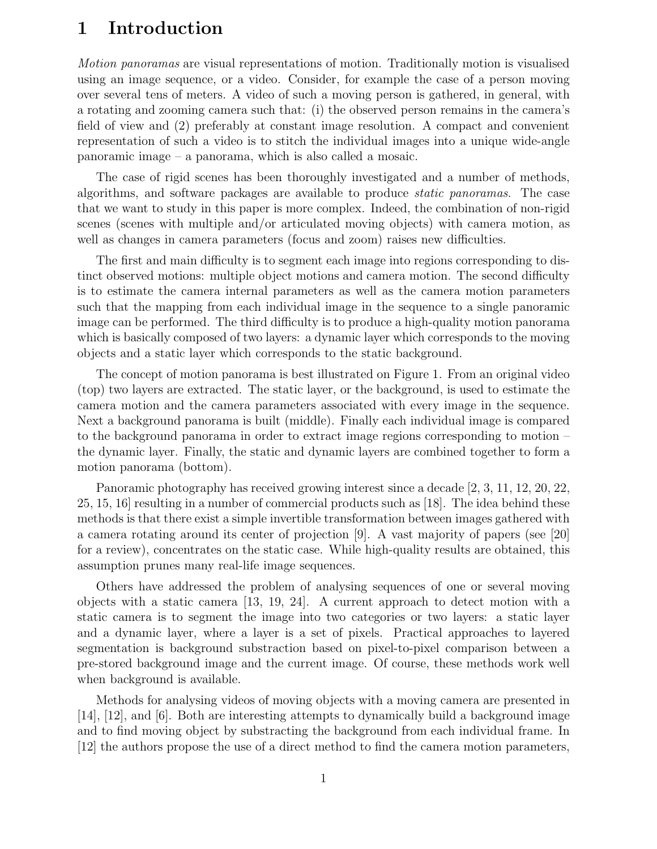## **1 Introduction**

*Motion panoramas* are visual representations of motion. Traditionally motion is visualised using an image sequence, or a video. Consider, for example the case of a person moving over several tens of meters. A video of such a moving person is gathered, in general, with a rotating and zooming camera such that: (i) the observed person remains in the camera's field of view and (2) preferably at constant image resolution. A compact and convenient representation of such a video is to stitch the individual images into a unique wide-angle panoramic image – a panorama, which is also called a mosaic.

The case of rigid scenes has been thoroughly investigated and a number of methods, algorithms, and software packages are available to produce *static panoramas*. The case that we want to study in this paper is more complex. Indeed, the combination of non-rigid scenes (scenes with multiple and/or articulated moving objects) with camera motion, as well as changes in camera parameters (focus and zoom) raises new difficulties.

The first and main difficulty is to segment each image into regions corresponding to distinct observed motions: multiple object motions and camera motion. The second difficulty is to estimate the camera internal parameters as well as the camera motion parameters such that the mapping from each individual image in the sequence to a single panoramic image can be performed. The third difficulty is to produce a high-quality motion panorama which is basically composed of two layers: a dynamic layer which corresponds to the moving objects and a static layer which corresponds to the static background.

The concept of motion panorama is best illustrated on Figure 1. From an original video (top) two layers are extracted. The static layer, or the background, is used to estimate the camera motion and the camera parameters associated with every image in the sequence. Next a background panorama is built (middle). Finally each individual image is compared to the background panorama in order to extract image regions corresponding to motion – the dynamic layer. Finally, the static and dynamic layers are combined together to form a motion panorama (bottom).

Panoramic photography has received growing interest since a decade [2, 3, 11, 12, 20, 22, 25, 15, 16] resulting in a number of commercial products such as [18]. The idea behind these methods is that there exist a simple invertible transformation between images gathered with a camera rotating around its center of projection [9]. A vast majority of papers (see [20] for a review), concentrates on the static case. While high-quality results are obtained, this assumption prunes many real-life image sequences.

Others have addressed the problem of analysing sequences of one or several moving objects with a static camera [13, 19, 24]. A current approach to detect motion with a static camera is to segment the image into two categories or two layers: a static layer and a dynamic layer, where a layer is a set of pixels. Practical approaches to layered segmentation is background substraction based on pixel-to-pixel comparison between a pre-stored background image and the current image. Of course, these methods work well when background is available.

Methods for analysing videos of moving objects with a moving camera are presented in [14], [12], and [6]. Both are interesting attempts to dynamically build a background image and to find moving object by substracting the background from each individual frame. In [12] the authors propose the use of a direct method to find the camera motion parameters,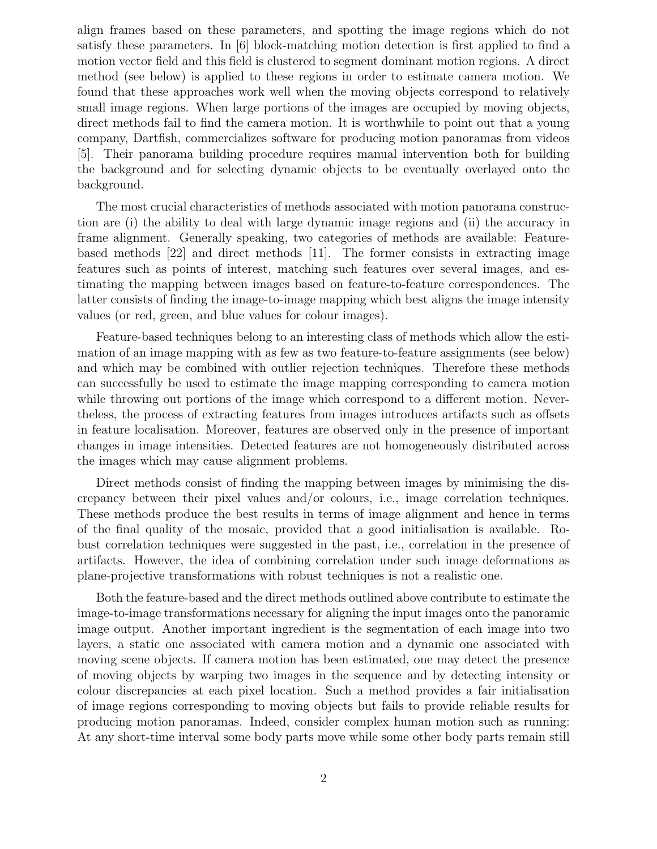align frames based on these parameters, and spotting the image regions which do not satisfy these parameters. In [6] block-matching motion detection is first applied to find a motion vector field and this field is clustered to segment dominant motion regions. A direct method (see below) is applied to these regions in order to estimate camera motion. We found that these approaches work well when the moving objects correspond to relatively small image regions. When large portions of the images are occupied by moving objects, direct methods fail to find the camera motion. It is worthwhile to point out that a young company, Dartfish, commercializes software for producing motion panoramas from videos [5]. Their panorama building procedure requires manual intervention both for building the background and for selecting dynamic objects to be eventually overlayed onto the background.

The most crucial characteristics of methods associated with motion panorama construction are (i) the ability to deal with large dynamic image regions and (ii) the accuracy in frame alignment. Generally speaking, two categories of methods are available: Featurebased methods [22] and direct methods [11]. The former consists in extracting image features such as points of interest, matching such features over several images, and estimating the mapping between images based on feature-to-feature correspondences. The latter consists of finding the image-to-image mapping which best aligns the image intensity values (or red, green, and blue values for colour images).

Feature-based techniques belong to an interesting class of methods which allow the estimation of an image mapping with as few as two feature-to-feature assignments (see below) and which may be combined with outlier rejection techniques. Therefore these methods can successfully be used to estimate the image mapping corresponding to camera motion while throwing out portions of the image which correspond to a different motion. Nevertheless, the process of extracting features from images introduces artifacts such as offsets in feature localisation. Moreover, features are observed only in the presence of important changes in image intensities. Detected features are not homogeneously distributed across the images which may cause alignment problems.

Direct methods consist of finding the mapping between images by minimising the discrepancy between their pixel values and/or colours, i.e., image correlation techniques. These methods produce the best results in terms of image alignment and hence in terms of the final quality of the mosaic, provided that a good initialisation is available. Robust correlation techniques were suggested in the past, i.e., correlation in the presence of artifacts. However, the idea of combining correlation under such image deformations as plane-projective transformations with robust techniques is not a realistic one.

Both the feature-based and the direct methods outlined above contribute to estimate the image-to-image transformations necessary for aligning the input images onto the panoramic image output. Another important ingredient is the segmentation of each image into two layers, a static one associated with camera motion and a dynamic one associated with moving scene objects. If camera motion has been estimated, one may detect the presence of moving objects by warping two images in the sequence and by detecting intensity or colour discrepancies at each pixel location. Such a method provides a fair initialisation of image regions corresponding to moving objects but fails to provide reliable results for producing motion panoramas. Indeed, consider complex human motion such as running: At any short-time interval some body parts move while some other body parts remain still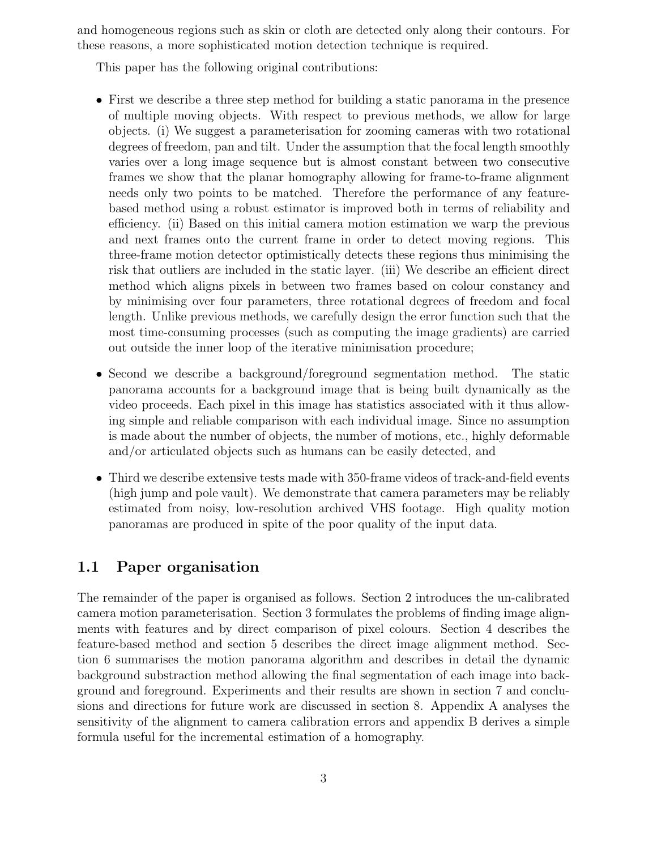and homogeneous regions such as skin or cloth are detected only along their contours. For these reasons, a more sophisticated motion detection technique is required.

This paper has the following original contributions:

- First we describe a three step method for building a static panorama in the presence of multiple moving objects. With respect to previous methods, we allow for large objects. (i) We suggest a parameterisation for zooming cameras with two rotational degrees of freedom, pan and tilt. Under the assumption that the focal length smoothly varies over a long image sequence but is almost constant between two consecutive frames we show that the planar homography allowing for frame-to-frame alignment needs only two points to be matched. Therefore the performance of any featurebased method using a robust estimator is improved both in terms of reliability and efficiency. (ii) Based on this initial camera motion estimation we warp the previous and next frames onto the current frame in order to detect moving regions. This three-frame motion detector optimistically detects these regions thus minimising the risk that outliers are included in the static layer. (iii) We describe an efficient direct method which aligns pixels in between two frames based on colour constancy and by minimising over four parameters, three rotational degrees of freedom and focal length. Unlike previous methods, we carefully design the error function such that the most time-consuming processes (such as computing the image gradients) are carried out outside the inner loop of the iterative minimisation procedure;
- Second we describe a background/foreground segmentation method. The static panorama accounts for a background image that is being built dynamically as the video proceeds. Each pixel in this image has statistics associated with it thus allowing simple and reliable comparison with each individual image. Since no assumption is made about the number of objects, the number of motions, etc., highly deformable and/or articulated objects such as humans can be easily detected, and
- Third we describe extensive tests made with 350-frame videos of track-and-field events (high jump and pole vault). We demonstrate that camera parameters may be reliably estimated from noisy, low-resolution archived VHS footage. High quality motion panoramas are produced in spite of the poor quality of the input data.

#### **1.1 Paper organisation**

The remainder of the paper is organised as follows. Section 2 introduces the un-calibrated camera motion parameterisation. Section 3 formulates the problems of finding image alignments with features and by direct comparison of pixel colours. Section 4 describes the feature-based method and section 5 describes the direct image alignment method. Section 6 summarises the motion panorama algorithm and describes in detail the dynamic background substraction method allowing the final segmentation of each image into background and foreground. Experiments and their results are shown in section 7 and conclusions and directions for future work are discussed in section 8. Appendix A analyses the sensitivity of the alignment to camera calibration errors and appendix B derives a simple formula useful for the incremental estimation of a homography.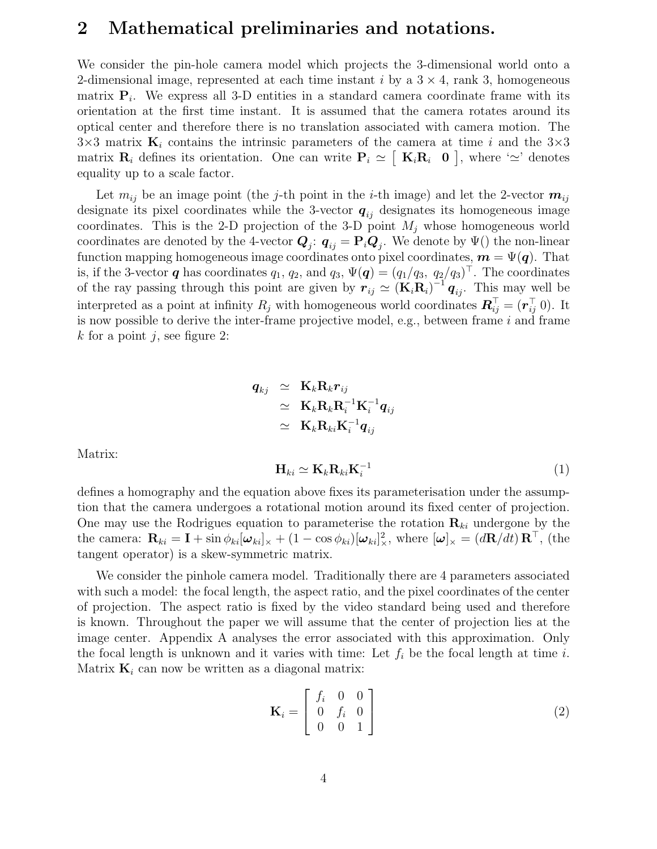#### **2 Mathematical preliminaries and notations.**

We consider the pin-hole camera model which projects the 3-dimensional world onto a 2-dimensional image, represented at each time instant i by a  $3 \times 4$ , rank 3, homogeneous matrix  $P_i$ . We express all 3-D entities in a standard camera coordinate frame with its orientation at the first time instant. It is assumed that the camera rotates around its optical center and therefore there is no translation associated with camera motion. The  $3\times3$  matrix  $\mathbf{K}_i$  contains the intrinsic parameters of the camera at time i and the  $3\times3$ matrix  $\mathbf{R}_i$  defines its orientation. One can write  $\mathbf{P}_i \simeq [\mathbf{K}_i \mathbf{R}_i \quad \mathbf{0}]$ , where ' $\simeq$ ' denotes equality up to a scale factor.

Let  $m_{ij}$  be an image point (the *j*-th point in the *i*-th image) and let the 2-vector  $m_{ij}$ designate its pixel coordinates while the 3-vector  $q_{ij}$  designates its homogeneous image coordinates. This is the 2-D projection of the 3-D point  $M_j$  whose homogeneous world coordinates are denoted by the 4-vector  $\mathbf{Q}_i$ :  $\mathbf{q}_{ij} = \mathbf{P}_i \mathbf{Q}_j$ . We denote by  $\Psi()$  the non-linear function mapping homogeneous image coordinates onto pixel coordinates,  $\mathbf{m} = \Psi(\mathbf{q})$ . That is, if the 3-vector *q* has coordinates  $q_1, q_2$ , and  $q_3, \Psi(q) = (q_1/q_3, q_2/q_3)^T$ . The coordinates of the ray passing through this point are given by  $r_{ij} \simeq (\mathbf{K}_i \mathbf{R}_i)^{-1} q_{ij}$ . This may well be interpreted as a point at infinity  $R_i$  with homogeneous world coordinates  $\mathbf{R}_{ii}^{\top} = (\mathbf{r}_{ii}^{\top} \mathbf{0})$ . It is now possible to derive the inter-frame projective model, e.g., between frame  $i$  and frame k for a point j, see figure 2:

$$
\begin{array}{rcl} \bm{q}_{kj} & \simeq & \mathbf{K}_k \mathbf{R}_k \bm{r}_{ij} \\ & \simeq & \mathbf{K}_k \mathbf{R}_k \mathbf{R}_i^{-1} \mathbf{K}_i^{-1} \bm{q}_{ij} \\ & \simeq & \mathbf{K}_k \mathbf{R}_{ki} \mathbf{K}_i^{-1} \bm{q}_{ij} \end{array}
$$

Matrix:

$$
\mathbf{H}_{ki} \simeq \mathbf{K}_k \mathbf{R}_{ki} \mathbf{K}_i^{-1} \tag{1}
$$

defines a homography and the equation above fixes its parameterisation under the assumption that the camera undergoes a rotational motion around its fixed center of projection. One may use the Rodrigues equation to parameterise the rotation  $\mathbf{R}_{ki}$  undergone by the the camera:  $\mathbf{R}_{ki} = \mathbf{I} + \sin \phi_{ki} [\boldsymbol{\omega}_{ki}]_{\times} + (1 - \cos \phi_{ki}) [\boldsymbol{\omega}_{ki}]_{\times}^2$ , where  $[\boldsymbol{\omega}]_{\times} = (d\mathbf{R}/dt) \mathbf{R}^{\top}$ , (the tangent operator) is a skew-symmetric matrix.

We consider the pinhole camera model. Traditionally there are 4 parameters associated with such a model: the focal length, the aspect ratio, and the pixel coordinates of the center of projection. The aspect ratio is fixed by the video standard being used and therefore is known. Throughout the paper we will assume that the center of projection lies at the image center. Appendix A analyses the error associated with this approximation. Only the focal length is unknown and it varies with time: Let  $f_i$  be the focal length at time i. Matrix  $\mathbf{K}_i$  can now be written as a diagonal matrix:

$$
\mathbf{K}_{i} = \begin{bmatrix} f_{i} & 0 & 0 \\ 0 & f_{i} & 0 \\ 0 & 0 & 1 \end{bmatrix}
$$
 (2)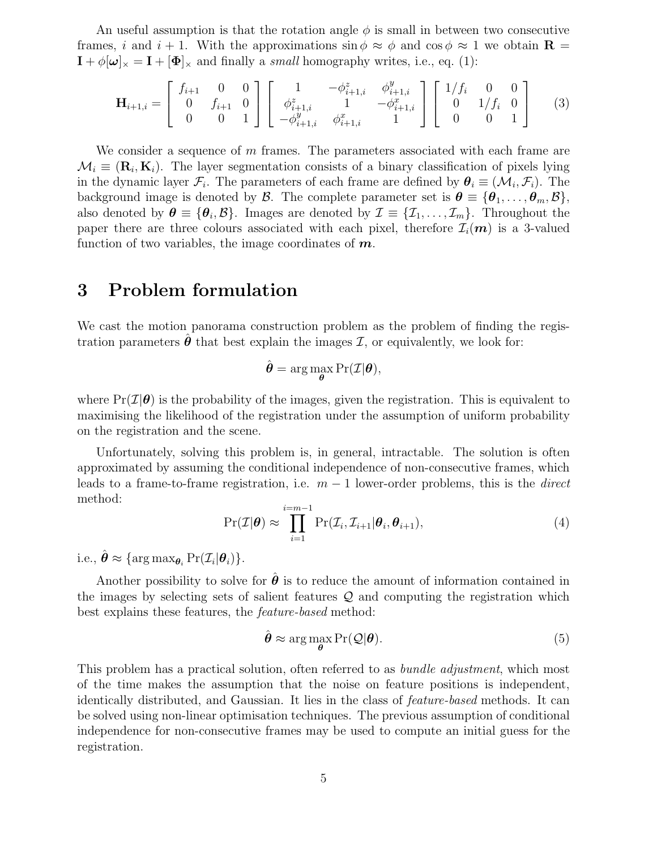An useful assumption is that the rotation angle  $\phi$  is small in between two consecutive frames, i and  $i + 1$ . With the approximations  $\sin \phi \approx \phi$  and  $\cos \phi \approx 1$  we obtain **R** =  $\mathbf{I} + \phi[\boldsymbol{\omega}]_{\times} = \mathbf{I} + [\boldsymbol{\Phi}]_{\times}$  and finally a *small* homography writes, i.e., eq. (1):

$$
\mathbf{H}_{i+1,i} = \begin{bmatrix} f_{i+1} & 0 & 0 \\ 0 & f_{i+1} & 0 \\ 0 & 0 & 1 \end{bmatrix} \begin{bmatrix} 1 & -\phi_{i+1,i}^z & \phi_{i+1,i}^y \\ \phi_{i+1,i}^z & 1 & -\phi_{i+1,i}^x \\ -\phi_{i+1,i}^y & \phi_{i+1,i}^x & 1 \end{bmatrix} \begin{bmatrix} 1/f_i & 0 & 0 \\ 0 & 1/f_i & 0 \\ 0 & 0 & 1 \end{bmatrix}
$$
(3)

We consider a sequence of  $m$  frames. The parameters associated with each frame are  $\mathcal{M}_i \equiv (\mathbf{R}_i, \mathbf{K}_i)$ . The layer segmentation consists of a binary classification of pixels lying in the dynamic layer  $\mathcal{F}_i$ . The parameters of each frame are defined by  $\theta_i \equiv (\mathcal{M}_i, \mathcal{F}_i)$ . The background image is denoted by  $\mathcal{B}$ . The complete parameter set is  $\theta \equiv {\theta_1, \ldots, \theta_m, \mathcal{B}}$ , also denoted by  $\theta \equiv {\theta_i, \mathcal{B}}$ . Images are denoted by  $\mathcal{I} \equiv {\mathcal{I}_1, \ldots, \mathcal{I}_m}$ . Throughout the paper there are three colours associated with each pixel, therefore  $\mathcal{I}_i(m)$  is a 3-valued function of two variables, the image coordinates of *m*.

### **3 Problem formulation**

We cast the motion panorama construction problem as the problem of finding the registration parameters  $\ddot{\theta}$  that best explain the images  $\mathcal{I}$ , or equivalently, we look for:

$$
\hat{\boldsymbol{\theta}} = \arg\max_{\boldsymbol{\theta}} \Pr(\mathcal{I}|\boldsymbol{\theta}),
$$

where  $Pr(\mathcal{I}|\boldsymbol{\theta})$  is the probability of the images, given the registration. This is equivalent to maximising the likelihood of the registration under the assumption of uniform probability on the registration and the scene.

Unfortunately, solving this problem is, in general, intractable. The solution is often approximated by assuming the conditional independence of non-consecutive frames, which leads to a frame-to-frame registration, i.e. m − 1 lower-order problems, this is the *direct* method:

$$
\Pr(\mathcal{I}|\boldsymbol{\theta}) \approx \prod_{i=1}^{i=m-1} \Pr(\mathcal{I}_i, \mathcal{I}_{i+1}|\boldsymbol{\theta}_i, \boldsymbol{\theta}_{i+1}),
$$
\n(4)

i.e.,  $\hat{\boldsymbol{\theta}} \approx {\arctan{\mathbf{x}}_{\boldsymbol{\theta}_i} \Pr(\mathcal{I}_i|\boldsymbol{\theta}_i)}.$ 

Another possibility to solve for  $\hat{\theta}$  is to reduce the amount of information contained in the images by selecting sets of salient features  $\mathcal{Q}$  and computing the registration which best explains these features, the *feature-based* method:

$$
\hat{\boldsymbol{\theta}} \approx \arg\max_{\boldsymbol{\theta}} \Pr(\mathcal{Q}|\boldsymbol{\theta}).
$$
\n(5)

This problem has a practical solution, often referred to as *bundle adjustment*, which most of the time makes the assumption that the noise on feature positions is independent, identically distributed, and Gaussian. It lies in the class of *feature-based* methods. It can be solved using non-linear optimisation techniques. The previous assumption of conditional independence for non-consecutive frames may be used to compute an initial guess for the registration.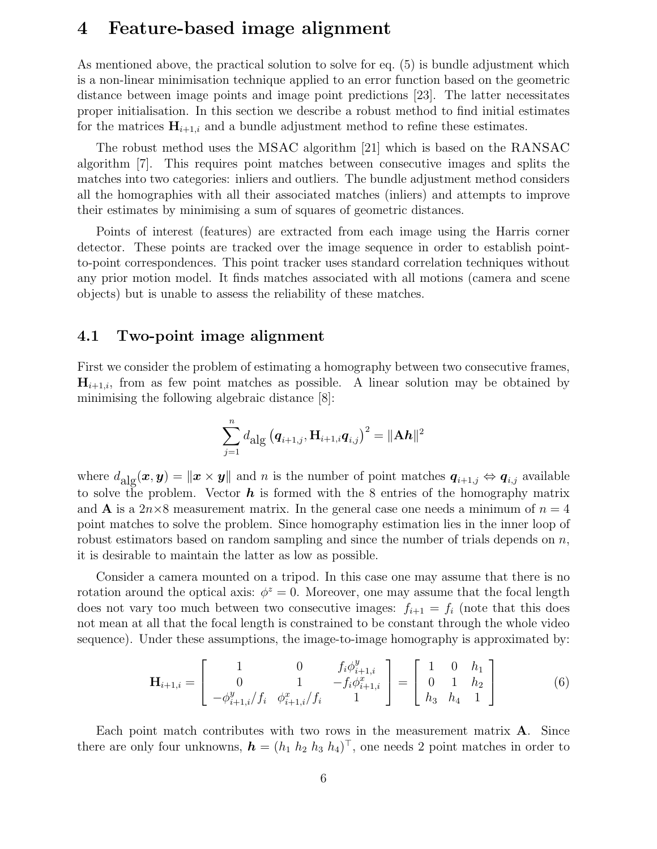#### **4 Feature-based image alignment**

As mentioned above, the practical solution to solve for eq. (5) is bundle adjustment which is a non-linear minimisation technique applied to an error function based on the geometric distance between image points and image point predictions [23]. The latter necessitates proper initialisation. In this section we describe a robust method to find initial estimates for the matrices  $\mathbf{H}_{i+1,i}$  and a bundle adjustment method to refine these estimates.

The robust method uses the MSAC algorithm [21] which is based on the RANSAC algorithm [7]. This requires point matches between consecutive images and splits the matches into two categories: inliers and outliers. The bundle adjustment method considers all the homographies with all their associated matches (inliers) and attempts to improve their estimates by minimising a sum of squares of geometric distances.

Points of interest (features) are extracted from each image using the Harris corner detector. These points are tracked over the image sequence in order to establish pointto-point correspondences. This point tracker uses standard correlation techniques without any prior motion model. It finds matches associated with all motions (camera and scene objects) but is unable to assess the reliability of these matches.

#### **4.1 Two-point image alignment**

First we consider the problem of estimating a homography between two consecutive frames,  $\mathbf{H}_{i+1,i}$ , from as few point matches as possible. A linear solution may be obtained by minimising the following algebraic distance [8]:

$$
\sum_{j=1}^{n} d_{\text{alg}} (\mathbf{q}_{i+1,j}, \mathbf{H}_{i+1,i} \mathbf{q}_{i,j})^2 = ||A h||^2
$$

where  $d_{\text{alg}}(x, y) = \|x \times y\|$  and n is the number of point matches  $q_{i+1,j} \Leftrightarrow q_{i,j}$  available to solve the problem. Vector *h* is formed with the 8 entries of the homography matrix and **A** is a  $2n \times 8$  measurement matrix. In the general case one needs a minimum of  $n = 4$ point matches to solve the problem. Since homography estimation lies in the inner loop of robust estimators based on random sampling and since the number of trials depends on  $n$ , it is desirable to maintain the latter as low as possible.

Consider a camera mounted on a tripod. In this case one may assume that there is no rotation around the optical axis:  $\phi^z = 0$ . Moreover, one may assume that the focal length does not vary too much between two consecutive images:  $f_{i+1} = f_i$  (note that this does not mean at all that the focal length is constrained to be constant through the whole video sequence). Under these assumptions, the image-to-image homography is approximated by:

$$
\mathbf{H}_{i+1,i} = \begin{bmatrix} 1 & 0 & f_i \phi_{i+1,i}^y \\ 0 & 1 & -f_i \phi_{i+1,i}^x \\ -\phi_{i+1,i}^y / f_i & \phi_{i+1,i}^x / f_i & 1 \end{bmatrix} = \begin{bmatrix} 1 & 0 & h_1 \\ 0 & 1 & h_2 \\ h_3 & h_4 & 1 \end{bmatrix}
$$
(6)

Each point match contributes with two rows in the measurement matrix **A**. Since there are only four unknowns,  $\mathbf{h} = (h_1 \; h_2 \; h_3 \; h_4)^{\top}$ , one needs 2 point matches in order to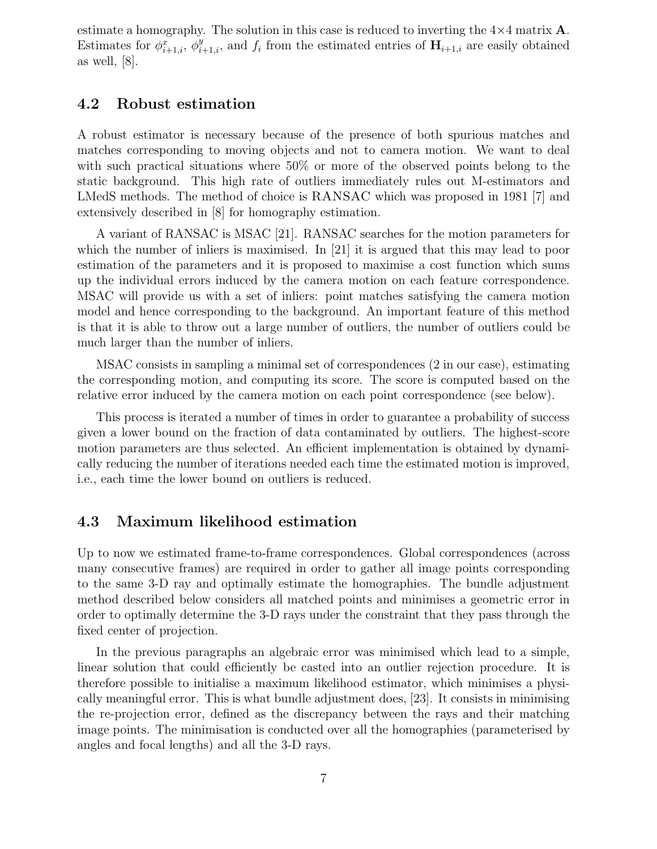estimate a homography. The solution in this case is reduced to inverting the  $4\times4$  matrix **A**. Estimates for  $\phi_{i+1,i}^x$ ,  $\phi_{i+1,i}^y$ , and  $f_i$  from the estimated entries of  $\mathbf{H}_{i+1,i}$  are easily obtained as well, [8].

#### **4.2 Robust estimation**

A robust estimator is necessary because of the presence of both spurious matches and matches corresponding to moving objects and not to camera motion. We want to deal with such practical situations where 50% or more of the observed points belong to the static background. This high rate of outliers immediately rules out M-estimators and LMedS methods. The method of choice is RANSAC which was proposed in 1981 [7] and extensively described in [8] for homography estimation.

A variant of RANSAC is MSAC [21]. RANSAC searches for the motion parameters for which the number of inliers is maximised. In [21] it is argued that this may lead to poor estimation of the parameters and it is proposed to maximise a cost function which sums up the individual errors induced by the camera motion on each feature correspondence. MSAC will provide us with a set of inliers: point matches satisfying the camera motion model and hence corresponding to the background. An important feature of this method is that it is able to throw out a large number of outliers, the number of outliers could be much larger than the number of inliers.

MSAC consists in sampling a minimal set of correspondences (2 in our case), estimating the corresponding motion, and computing its score. The score is computed based on the relative error induced by the camera motion on each point correspondence (see below).

This process is iterated a number of times in order to guarantee a probability of success given a lower bound on the fraction of data contaminated by outliers. The highest-score motion parameters are thus selected. An efficient implementation is obtained by dynamically reducing the number of iterations needed each time the estimated motion is improved, i.e., each time the lower bound on outliers is reduced.

#### **4.3 Maximum likelihood estimation**

Up to now we estimated frame-to-frame correspondences. Global correspondences (across many consecutive frames) are required in order to gather all image points corresponding to the same 3-D ray and optimally estimate the homographies. The bundle adjustment method described below considers all matched points and minimises a geometric error in order to optimally determine the 3-D rays under the constraint that they pass through the fixed center of projection.

In the previous paragraphs an algebraic error was minimised which lead to a simple, linear solution that could efficiently be casted into an outlier rejection procedure. It is therefore possible to initialise a maximum likelihood estimator, which minimises a physically meaningful error. This is what bundle adjustment does, [23]. It consists in minimising the re-projection error, defined as the discrepancy between the rays and their matching image points. The minimisation is conducted over all the homographies (parameterised by angles and focal lengths) and all the 3-D rays.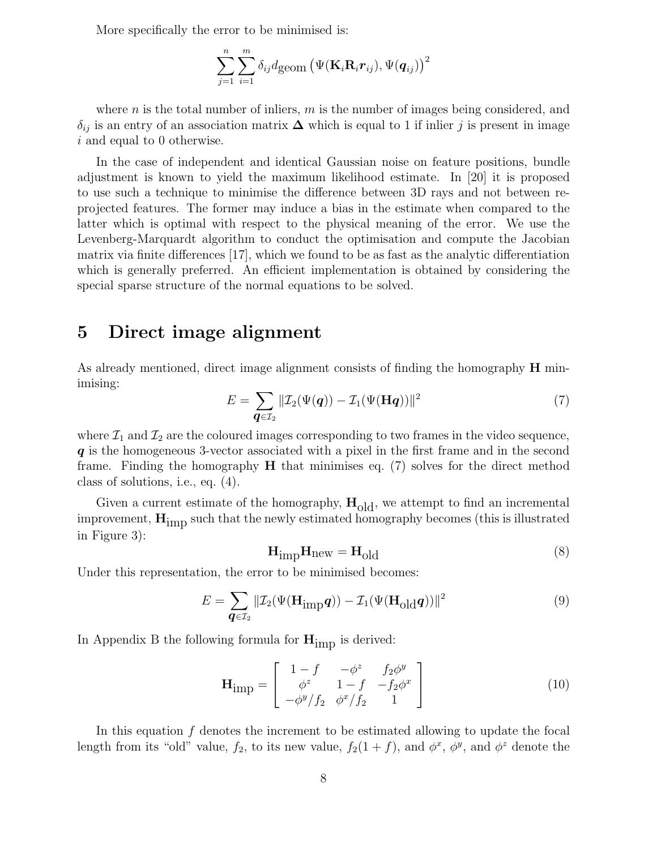More specifically the error to be minimised is:

$$
\sum_{j=1}^{n}\sum_{i=1}^{m}\delta_{ij}d\text{geom}\left(\Psi(\mathbf{K}_{i}\mathbf{R}_{i}\boldsymbol{r}_{ij}),\Psi(\boldsymbol{q}_{ij})\right)^{2}
$$

where n is the total number of inliers,  $m$  is the number of images being considered, and  $\delta_{ij}$  is an entry of an association matrix  $\Delta$  which is equal to 1 if inlier j is present in image i and equal to 0 otherwise.

In the case of independent and identical Gaussian noise on feature positions, bundle adjustment is known to yield the maximum likelihood estimate. In [20] it is proposed to use such a technique to minimise the difference between 3D rays and not between reprojected features. The former may induce a bias in the estimate when compared to the latter which is optimal with respect to the physical meaning of the error. We use the Levenberg-Marquardt algorithm to conduct the optimisation and compute the Jacobian matrix via finite differences [17], which we found to be as fast as the analytic differentiation which is generally preferred. An efficient implementation is obtained by considering the special sparse structure of the normal equations to be solved.

#### **5 Direct image alignment**

As already mentioned, direct image alignment consists of finding the homography **H** minimising:

$$
E = \sum_{\boldsymbol{q} \in \mathcal{I}_2} \|\mathcal{I}_2(\Psi(\boldsymbol{q})) - \mathcal{I}_1(\Psi(\mathbf{H}\boldsymbol{q}))\|^2 \tag{7}
$$

where  $\mathcal{I}_1$  and  $\mathcal{I}_2$  are the coloured images corresponding to two frames in the video sequence, *q* is the homogeneous 3-vector associated with a pixel in the first frame and in the second frame. Finding the homography **H** that minimises eq. (7) solves for the direct method class of solutions, i.e., eq. (4).

Given a current estimate of the homography,  $H_{old}$ , we attempt to find an incremental improvement, **H**imp such that the newly estimated homography becomes (this is illustrated in Figure 3):

$$
\mathbf{H}_{\text{imp}}\mathbf{H}_{\text{new}} = \mathbf{H}_{\text{old}} \tag{8}
$$

Under this representation, the error to be minimised becomes:

$$
E = \sum_{\mathbf{q} \in \mathcal{I}_2} \|\mathcal{I}_2(\Psi(\mathbf{H}_{\text{imp}}\mathbf{q})) - \mathcal{I}_1(\Psi(\mathbf{H}_{\text{old}}\mathbf{q}))\|^2 \tag{9}
$$

In Appendix B the following formula for  $H_{\text{imp}}$  is derived:

$$
\mathbf{H}_{\text{imp}} = \begin{bmatrix} 1 - f & -\phi^z & f_2 \phi^y \\ \phi^z & 1 - f & -f_2 \phi^x \\ -\phi^y / f_2 & \phi^x / f_2 & 1 \end{bmatrix}
$$
(10)

In this equation f denotes the increment to be estimated allowing to update the focal length from its "old" value,  $f_2$ , to its new value,  $f_2(1+f)$ , and  $\phi^x$ ,  $\phi^y$ , and  $\phi^z$  denote the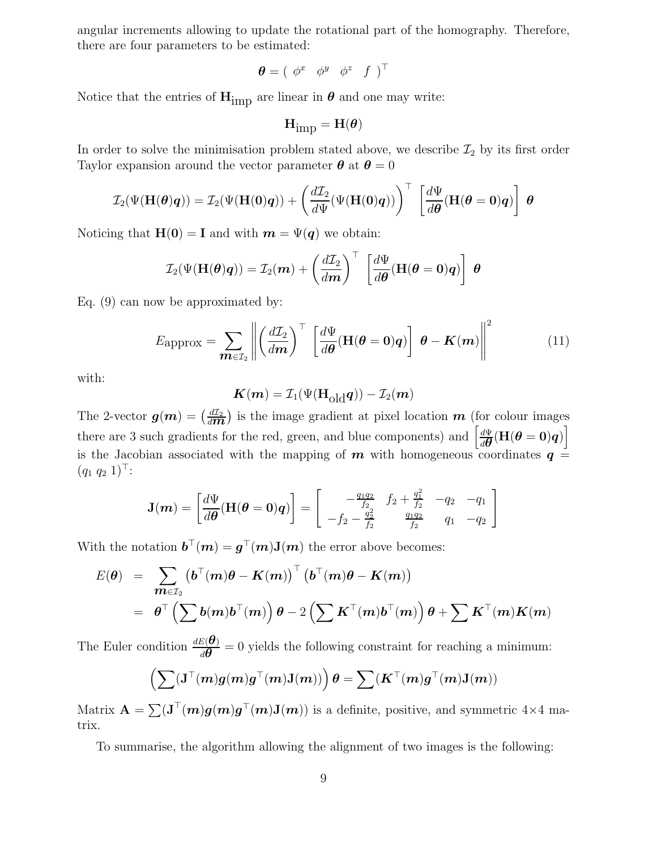angular increments allowing to update the rotational part of the homography. Therefore, there are four parameters to be estimated:

$$
\boldsymbol{\theta} = ( \begin{array}{cccc} \phi^x & \phi^y & \phi^z & f \end{array})^{\top}
$$

Notice that the entries of  $\mathbf{H}_{\text{imp}}$  are linear in  $\boldsymbol{\theta}$  and one may write:

$$
\mathbf{H}_{imp} = \mathbf{H}(\boldsymbol{\theta})
$$

In order to solve the minimisation problem stated above, we describe  $\mathcal{I}_2$  by its first order Taylor expansion around the vector parameter  $\theta$  at  $\theta = 0$ 

$$
\mathcal{I}_2(\Psi(\mathbf{H}(\boldsymbol{\theta})\boldsymbol{q})) = \mathcal{I}_2(\Psi(\mathbf{H}(0)\boldsymbol{q})) + \left(\frac{d\mathcal{I}_2}{d\Psi}(\Psi(\mathbf{H}(0)\boldsymbol{q}))\right)^{\top} \left[\frac{d\Psi}{d\boldsymbol{\theta}}(\mathbf{H}(\boldsymbol{\theta}=\boldsymbol{0})\boldsymbol{q})\right] \boldsymbol{\theta}
$$

Noticing that  $\mathbf{H}(\mathbf{0}) = \mathbf{I}$  and with  $\mathbf{m} = \Psi(\mathbf{q})$  we obtain:

$$
\mathcal{I}_2(\Psi(\mathbf{H}(\boldsymbol{\theta})\boldsymbol{q})) = \mathcal{I}_2(\boldsymbol{m}) + \left(\frac{d\mathcal{I}_2}{d\boldsymbol{m}}\right)^{\top} \left[\frac{d\Psi}{d\boldsymbol{\theta}}(\mathbf{H}(\boldsymbol{\theta}=\boldsymbol{0})\boldsymbol{q})\right] \boldsymbol{\theta}
$$

Eq. (9) can now be approximated by:

$$
E_{\rm approx} = \sum_{\boldsymbol{m}\in\mathcal{I}_2} \left\| \left(\frac{d\mathcal{I}_2}{d\boldsymbol{m}}\right)^\top \left[\frac{d\Psi}{d\boldsymbol{\theta}} (\mathbf{H}(\boldsymbol{\theta}=\mathbf{0})\boldsymbol{q})\right] \boldsymbol{\theta} - \boldsymbol{K}(\boldsymbol{m}) \right\|^2 \tag{11}
$$

with:

$$
\mathbf{K}(\mathbf{m}) = \mathcal{I}_1(\Psi(\mathbf{H}_{\text{old}}\mathbf{q})) - \mathcal{I}_2(\mathbf{m})
$$

The 2-vector  $g(m) = \left(\frac{dI_2}{dm}\right)$  is the image gradient at pixel location *m* (for colour images) there are 3 such gradients for the red, green, and blue components) and  $\left[\frac{d\Psi}{d\theta}(\mathbf{H}(\theta = 0)q)\right]$ is the Jacobian associated with the mapping of  $m$  with homogeneous coordinates  $q =$  $(q_1 \ q_2 \ 1)^{\top}$ :

$$
\mathbf{J}(m) = \begin{bmatrix} \frac{d\Psi}{d\theta} (\mathbf{H}(\theta = 0)q) \end{bmatrix} = \begin{bmatrix} -\frac{q_1q_2}{f_2} & f_2 + \frac{q_1^2}{f_2} & -q_2 & -q_1 \\ -f_2 - \frac{q_2^2}{f_2} & \frac{q_1q_2}{f_2} & q_1 & -q_2 \end{bmatrix}
$$

With the notation  $\mathbf{b}^{\top}(\mathbf{m}) = \mathbf{g}^{\top}(\mathbf{m})\mathbf{J}(\mathbf{m})$  the error above becomes:

$$
E(\theta) = \sum_{\mathbf{m} \in \mathcal{I}_2} (\boldsymbol{b}^\top(\mathbf{m})\boldsymbol{\theta} - \mathbf{K}(\mathbf{m}))^\top (\boldsymbol{b}^\top(\mathbf{m})\boldsymbol{\theta} - \mathbf{K}(\mathbf{m}))
$$
  
=  $\boldsymbol{\theta}^\top (\sum \boldsymbol{b}(\mathbf{m})\boldsymbol{b}^\top(\mathbf{m})) \boldsymbol{\theta} - 2 (\sum \mathbf{K}^\top(\mathbf{m})\boldsymbol{b}^\top(\mathbf{m})) \boldsymbol{\theta} + \sum \mathbf{K}^\top(\mathbf{m})\mathbf{K}(\mathbf{m})$ 

The Euler condition  $\frac{dE(\theta)}{d\theta} = 0$  yields the following constraint for reaching a minimum:

$$
\left(\sum(\mathbf{J}^\top(\boldsymbol{m})\boldsymbol{g}(\boldsymbol{m})\boldsymbol{g}^\top(\boldsymbol{m})\mathbf{J}(\boldsymbol{m}))\right)\boldsymbol{\theta}=\sum(\boldsymbol{K}^\top(\boldsymbol{m})\boldsymbol{g}^\top(\boldsymbol{m})\mathbf{J}(\boldsymbol{m}))
$$

Matrix  $\mathbf{A} = \sum (\mathbf{J}^{\top}(\mathbf{m})\mathbf{g}(\mathbf{m})\mathbf{g}^{\top}(\mathbf{m})\mathbf{J}(\mathbf{m}))$  is a definite, positive, and symmetric 4×4 matrix.

To summarise, the algorithm allowing the alignment of two images is the following: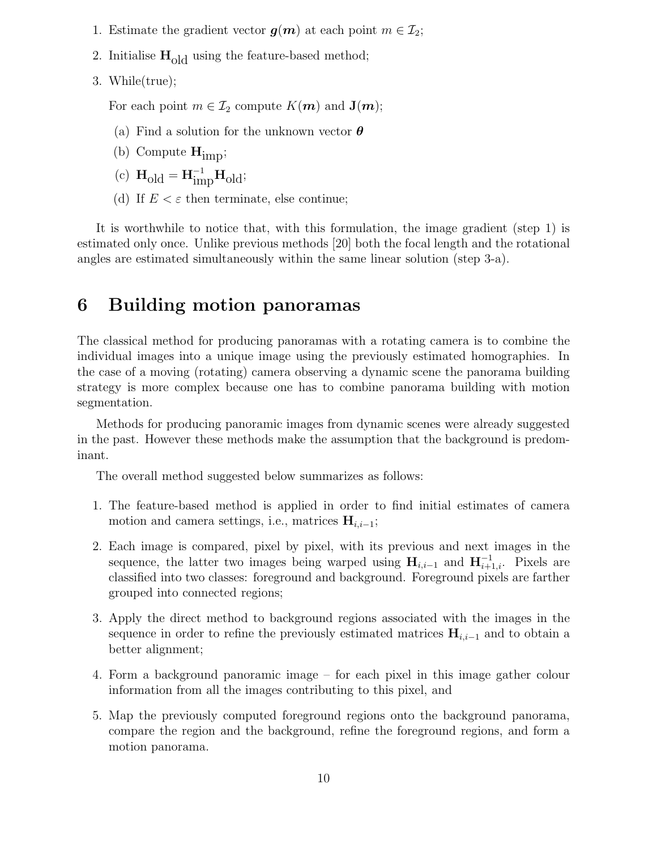- 1. Estimate the gradient vector  $g(m)$  at each point  $m \in \mathcal{I}_2$ ;
- 2. Initialise **H**old using the feature-based method;
- 3. While(true);

For each point  $m \in \mathcal{I}_2$  compute  $K(m)$  and  $\mathbf{J}(m)$ ;

- (a) Find a solution for the unknown vector *θ*
- (b) Compute  $\mathbf{H}_{\text{impl}}$ ;
- (c)  $\mathbf{H}_{old} = \mathbf{H}_{imp}^{-1} \mathbf{H}_{old};$
- (d) If  $E < \varepsilon$  then terminate, else continue;

It is worthwhile to notice that, with this formulation, the image gradient (step 1) is estimated only once. Unlike previous methods [20] both the focal length and the rotational angles are estimated simultaneously within the same linear solution (step 3-a).

### **6 Building motion panoramas**

The classical method for producing panoramas with a rotating camera is to combine the individual images into a unique image using the previously estimated homographies. In the case of a moving (rotating) camera observing a dynamic scene the panorama building strategy is more complex because one has to combine panorama building with motion segmentation.

Methods for producing panoramic images from dynamic scenes were already suggested in the past. However these methods make the assumption that the background is predominant.

The overall method suggested below summarizes as follows:

- 1. The feature-based method is applied in order to find initial estimates of camera motion and camera settings, i.e., matrices  $\mathbf{H}_{i,i-1}$ ;
- 2. Each image is compared, pixel by pixel, with its previous and next images in the sequence, the latter two images being warped using  $\mathbf{H}_{i,i-1}$  and  $\mathbf{H}_{i+1,i}^{-1}$ . Pixels are classified into two classes: foreground and background. Foreground pixels are farther grouped into connected regions;
- 3. Apply the direct method to background regions associated with the images in the sequence in order to refine the previously estimated matrices  $\mathbf{H}_{i,i-1}$  and to obtain a better alignment;
- 4. Form a background panoramic image for each pixel in this image gather colour information from all the images contributing to this pixel, and
- 5. Map the previously computed foreground regions onto the background panorama, compare the region and the background, refine the foreground regions, and form a motion panorama.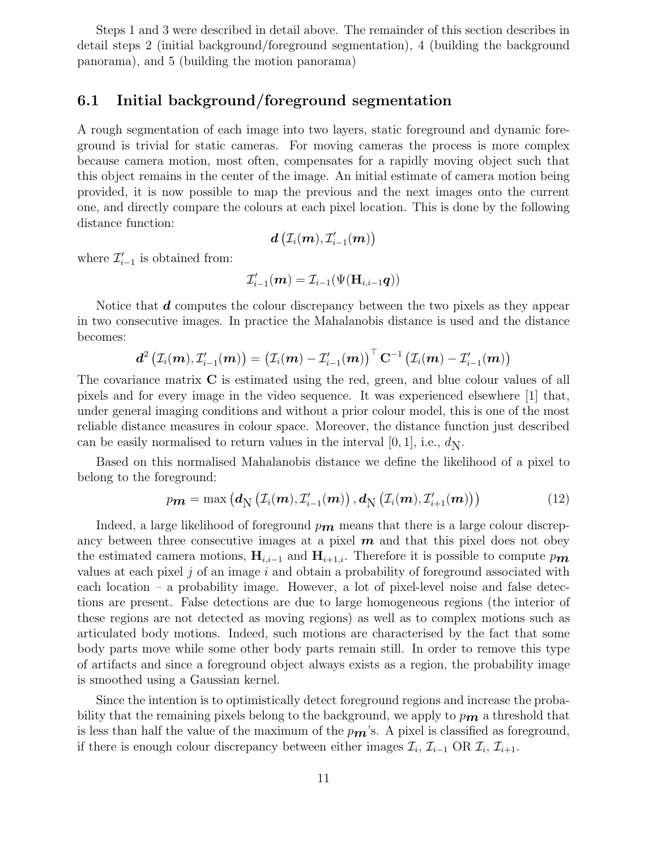Steps 1 and 3 were described in detail above. The remainder of this section describes in detail steps 2 (initial background/foreground segmentation), 4 (building the background panorama), and 5 (building the motion panorama)

#### **6.1 Initial background/foreground segmentation**

A rough segmentation of each image into two layers, static foreground and dynamic foreground is trivial for static cameras. For moving cameras the process is more complex because camera motion, most often, compensates for a rapidly moving object such that this object remains in the center of the image. An initial estimate of camera motion being provided, it is now possible to map the previous and the next images onto the current one, and directly compare the colours at each pixel location. This is done by the following distance function:

$$
\boldsymbol{d}\left(\mathcal{I}_i(\boldsymbol{m}), \mathcal{I}'_{i-1}(\boldsymbol{m})\right)
$$

where  $\mathcal{I}'_{i-1}$  is obtained from:

$$
\mathcal{I}'_{i-1}(\boldsymbol{m}) = \mathcal{I}_{i-1}(\Psi(\mathbf{H}_{i,i-1}\boldsymbol{q}))
$$

Notice that *d* computes the colour discrepancy between the two pixels as they appear in two consecutive images. In practice the Mahalanobis distance is used and the distance becomes:

$$
\bm{d}^2\left(\mathcal{I}_i(\bm{m}),\mathcal{I}_{i-1}'(\bm{m})\right)=\left(\mathcal{I}_i(\bm{m})-\mathcal{I}_{i-1}'(\bm{m})\right)^\top\mathbf{C}^{-1}\left(\mathcal{I}_i(\bm{m})-\mathcal{I}_{i-1}'(\bm{m})\right)
$$

The covariance matrix **C** is estimated using the red, green, and blue colour values of all pixels and for every image in the video sequence. It was experienced elsewhere [1] that, under general imaging conditions and without a prior colour model, this is one of the most reliable distance measures in colour space. Moreover, the distance function just described can be easily normalised to return values in the interval [0, 1], i.e.,  $d_N$ .

Based on this normalised Mahalanobis distance we define the likelihood of a pixel to belong to the foreground:

$$
p_{\boldsymbol{m}} = \max\left(\boldsymbol{d}_{\boldsymbol{N}}\left(\mathcal{I}_i(\boldsymbol{m}), \mathcal{I}'_{i-1}(\boldsymbol{m})\right), \boldsymbol{d}_{\boldsymbol{N}}\left(\mathcal{I}_i(\boldsymbol{m}), \mathcal{I}'_{i+1}(\boldsymbol{m})\right)\right) \tag{12}
$$

Indeed, a large likelihood of foreground  $p_{m}$  means that there is a large colour discrepancy between three consecutive images at a pixel *m* and that this pixel does not obey the estimated camera motions,  $\mathbf{H}_{i,i-1}$  and  $\mathbf{H}_{i+1,i}$ . Therefore it is possible to compute p<sub>m</sub> values at each pixel j of an image i and obtain a probability of foreground associated with each location – a probability image. However, a lot of pixel-level noise and false detections are present. False detections are due to large homogeneous regions (the interior of these regions are not detected as moving regions) as well as to complex motions such as articulated body motions. Indeed, such motions are characterised by the fact that some body parts move while some other body parts remain still. In order to remove this type of artifacts and since a foreground object always exists as a region, the probability image is smoothed using a Gaussian kernel.

Since the intention is to optimistically detect foreground regions and increase the probability that the remaining pixels belong to the background, we apply to  $p_{\mathbf{m}}$  a threshold that is less than half the value of the maximum of the  $p_{\mathbf{m}}$ 's. A pixel is classified as foreground, if there is enough colour discrepancy between either images  $\mathcal{I}_i$ ,  $\mathcal{I}_{i-1}$  OR  $\mathcal{I}_i$ ,  $\mathcal{I}_{i+1}$ .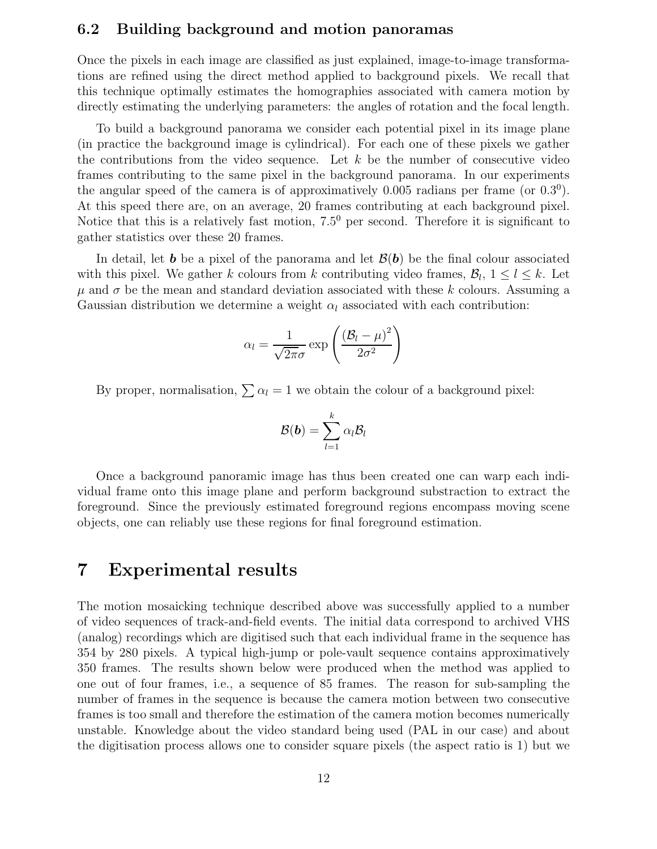#### **6.2 Building background and motion panoramas**

Once the pixels in each image are classified as just explained, image-to-image transformations are refined using the direct method applied to background pixels. We recall that this technique optimally estimates the homographies associated with camera motion by directly estimating the underlying parameters: the angles of rotation and the focal length.

To build a background panorama we consider each potential pixel in its image plane (in practice the background image is cylindrical). For each one of these pixels we gather the contributions from the video sequence. Let  $k$  be the number of consecutive video frames contributing to the same pixel in the background panorama. In our experiments the angular speed of the camera is of approximatively 0.005 radians per frame (or  $(0.3^0)$ ). At this speed there are, on an average, 20 frames contributing at each background pixel. Notice that this is a relatively fast motion,  $7.5^0$  per second. Therefore it is significant to gather statistics over these 20 frames.

In detail, let **b** be a pixel of the panorama and let  $\mathcal{B}(\mathbf{b})$  be the final colour associated with this pixel. We gather k colours from k contributing video frames,  $\mathcal{B}_l$ ,  $1 \leq l \leq k$ . Let  $\mu$  and  $\sigma$  be the mean and standard deviation associated with these k colours. Assuming a Gaussian distribution we determine a weight  $\alpha_l$  associated with each contribution:

$$
\alpha_l = \frac{1}{\sqrt{2\pi}\sigma} \exp\left(\frac{(\mathcal{B}_l - \mu)^2}{2\sigma^2}\right)
$$

By proper, normalisation,  $\sum \alpha_l = 1$  we obtain the colour of a background pixel:

$$
\mathcal{B}(\boldsymbol{b}) = \sum_{l=1}^k \alpha_l \mathcal{B}_l
$$

Once a background panoramic image has thus been created one can warp each individual frame onto this image plane and perform background substraction to extract the foreground. Since the previously estimated foreground regions encompass moving scene objects, one can reliably use these regions for final foreground estimation.

#### **7 Experimental results**

The motion mosaicking technique described above was successfully applied to a number of video sequences of track-and-field events. The initial data correspond to archived VHS (analog) recordings which are digitised such that each individual frame in the sequence has 354 by 280 pixels. A typical high-jump or pole-vault sequence contains approximatively 350 frames. The results shown below were produced when the method was applied to one out of four frames, i.e., a sequence of 85 frames. The reason for sub-sampling the number of frames in the sequence is because the camera motion between two consecutive frames is too small and therefore the estimation of the camera motion becomes numerically unstable. Knowledge about the video standard being used (PAL in our case) and about the digitisation process allows one to consider square pixels (the aspect ratio is 1) but we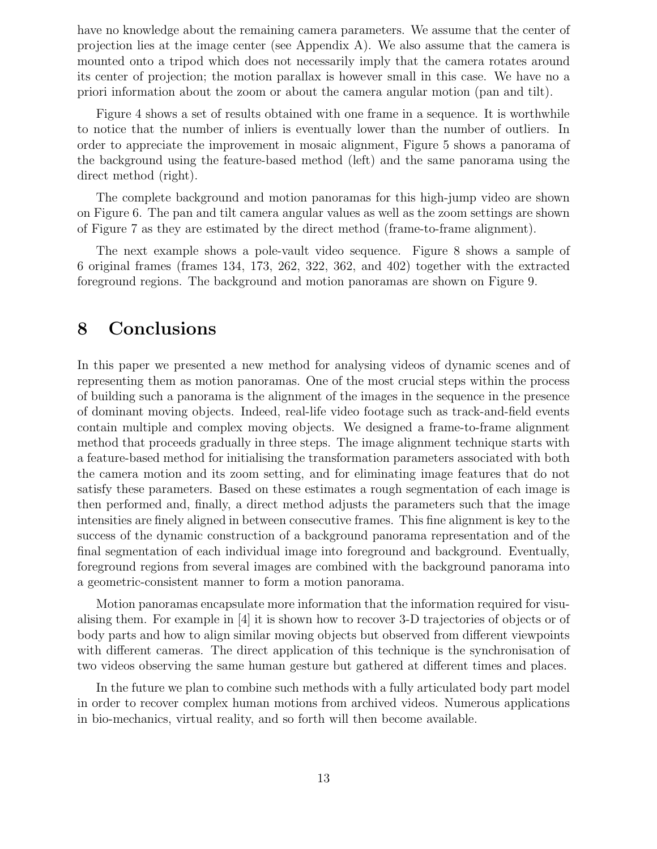have no knowledge about the remaining camera parameters. We assume that the center of projection lies at the image center (see Appendix A). We also assume that the camera is mounted onto a tripod which does not necessarily imply that the camera rotates around its center of projection; the motion parallax is however small in this case. We have no a priori information about the zoom or about the camera angular motion (pan and tilt).

Figure 4 shows a set of results obtained with one frame in a sequence. It is worthwhile to notice that the number of inliers is eventually lower than the number of outliers. In order to appreciate the improvement in mosaic alignment, Figure 5 shows a panorama of the background using the feature-based method (left) and the same panorama using the direct method (right).

The complete background and motion panoramas for this high-jump video are shown on Figure 6. The pan and tilt camera angular values as well as the zoom settings are shown of Figure 7 as they are estimated by the direct method (frame-to-frame alignment).

The next example shows a pole-vault video sequence. Figure 8 shows a sample of 6 original frames (frames 134, 173, 262, 322, 362, and 402) together with the extracted foreground regions. The background and motion panoramas are shown on Figure 9.

### **8 Conclusions**

In this paper we presented a new method for analysing videos of dynamic scenes and of representing them as motion panoramas. One of the most crucial steps within the process of building such a panorama is the alignment of the images in the sequence in the presence of dominant moving objects. Indeed, real-life video footage such as track-and-field events contain multiple and complex moving objects. We designed a frame-to-frame alignment method that proceeds gradually in three steps. The image alignment technique starts with a feature-based method for initialising the transformation parameters associated with both the camera motion and its zoom setting, and for eliminating image features that do not satisfy these parameters. Based on these estimates a rough segmentation of each image is then performed and, finally, a direct method adjusts the parameters such that the image intensities are finely aligned in between consecutive frames. This fine alignment is key to the success of the dynamic construction of a background panorama representation and of the final segmentation of each individual image into foreground and background. Eventually, foreground regions from several images are combined with the background panorama into a geometric-consistent manner to form a motion panorama.

Motion panoramas encapsulate more information that the information required for visualising them. For example in [4] it is shown how to recover 3-D trajectories of objects or of body parts and how to align similar moving objects but observed from different viewpoints with different cameras. The direct application of this technique is the synchronisation of two videos observing the same human gesture but gathered at different times and places.

In the future we plan to combine such methods with a fully articulated body part model in order to recover complex human motions from archived videos. Numerous applications in bio-mechanics, virtual reality, and so forth will then become available.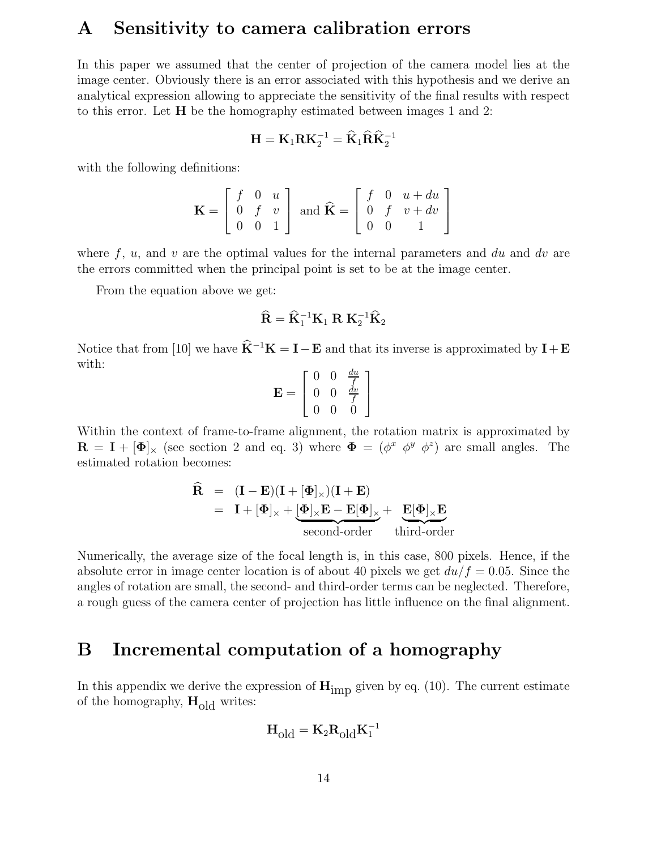### **A Sensitivity to camera calibration errors**

In this paper we assumed that the center of projection of the camera model lies at the image center. Obviously there is an error associated with this hypothesis and we derive an analytical expression allowing to appreciate the sensitivity of the final results with respect to this error. Let **H** be the homography estimated between images 1 and 2:

$$
\mathbf{H} = \mathbf{K}_1 \mathbf{R} \mathbf{K}_2^{-1} = \widehat{\mathbf{K}}_1 \widehat{\mathbf{R}} \widehat{\mathbf{K}}_2^{-1}
$$

with the following definitions:

$$
\mathbf{K} = \begin{bmatrix} f & 0 & u \\ 0 & f & v \\ 0 & 0 & 1 \end{bmatrix} \text{ and } \hat{\mathbf{K}} = \begin{bmatrix} f & 0 & u + du \\ 0 & f & v + dv \\ 0 & 0 & 1 \end{bmatrix}
$$

where  $f, u$ , and v are the optimal values for the internal parameters and du and dv are the errors committed when the principal point is set to be at the image center.

From the equation above we get:

$$
\widehat{\mathbf{R}} = \widehat{\mathbf{K}}_1^{-1} \mathbf{K}_1 \mathbf{R} \mathbf{K}_2^{-1} \widehat{\mathbf{K}}_2
$$

Notice that from [10] we have  $\hat{\mathbf{K}}^{-1}\mathbf{K} = \mathbf{I} - \mathbf{E}$  and that its inverse is approximated by  $\mathbf{I} + \mathbf{E}$ with:

$$
\mathbf{E} = \left[ \begin{array}{ccc} 0 & 0 & \frac{du}{f} \\ 0 & 0 & \frac{dv}{f} \\ 0 & 0 & 0 \end{array} \right]
$$

Within the context of frame-to-frame alignment, the rotation matrix is approximated by **R** = **I** +  $[\Phi]_x$  (see section 2 and eq. 3) where  $\Phi = (\phi^x \phi^y \phi^z)$  are small angles. The estimated rotation becomes:

$$
\widehat{\mathbf{R}} = (\mathbf{I} - \mathbf{E})(\mathbf{I} + [\Phi]_{\times})(\mathbf{I} + \mathbf{E})
$$
  
=  $\mathbf{I} + [\Phi]_{\times} + [\Phi]_{\times}\mathbf{E} - \mathbf{E}[\Phi]_{\times} + \underbrace{\mathbf{E}[\Phi]_{\times}\mathbf{E}}_{\text{second-order}}$ third-order

Numerically, the average size of the focal length is, in this case, 800 pixels. Hence, if the absolute error in image center location is of about 40 pixels we get  $du/f = 0.05$ . Since the angles of rotation are small, the second- and third-order terms can be neglected. Therefore, a rough guess of the camera center of projection has little influence on the final alignment.

### **B Incremental computation of a homography**

In this appendix we derive the expression of  $\mathbf{H}_{\text{imp}}$  given by eq. (10). The current estimate of the homography,  $H_{old}$  writes:

$$
\mathbf{H}_{\text{old}} = \mathbf{K}_2 \mathbf{R}_{\text{old}} \mathbf{K}_1^{-1}
$$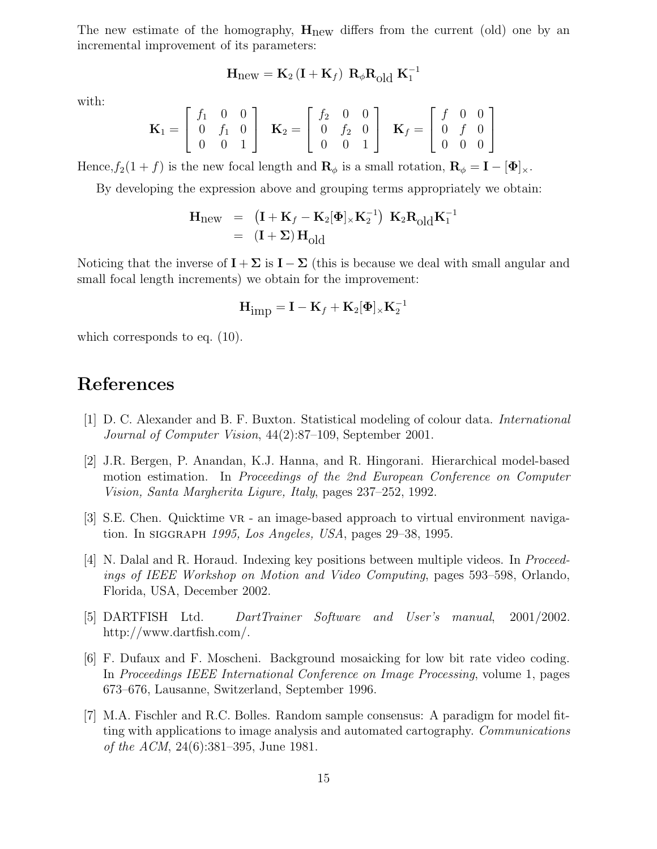The new estimate of the homography, **H**new differs from the current (old) one by an incremental improvement of its parameters:

$$
\mathbf{H}_{\text{new}} = \mathbf{K}_2 \left( \mathbf{I} + \mathbf{K}_f \right) \, \mathbf{R}_{\phi} \mathbf{R}_{\text{old}} \, \mathbf{K}_1^{-1}
$$

with:

$$
\mathbf{K}_1 = \begin{bmatrix} f_1 & 0 & 0 \\ 0 & f_1 & 0 \\ 0 & 0 & 1 \end{bmatrix} \quad \mathbf{K}_2 = \begin{bmatrix} f_2 & 0 & 0 \\ 0 & f_2 & 0 \\ 0 & 0 & 1 \end{bmatrix} \quad \mathbf{K}_f = \begin{bmatrix} f & 0 & 0 \\ 0 & f & 0 \\ 0 & 0 & 0 \end{bmatrix}
$$

Hence,  $f_2(1 + f)$  is the new focal length and  $\mathbf{R}_{\phi}$  is a small rotation,  $\mathbf{R}_{\phi} = \mathbf{I} - [\mathbf{\Phi}]_{\times}$ .

By developing the expression above and grouping terms appropriately we obtain:

$$
\begin{array}{lcl} \mathbf{H}_{\text{new}} & = & \left(\mathbf{I} + \mathbf{K}_f - \mathbf{K}_2[\boldsymbol{\Phi}]_{\times}\mathbf{K}_2^{-1}\right) \; \mathbf{K}_2 \mathbf{R}_{\text{old}} \mathbf{K}_1^{-1} \\ & = & \left(\mathbf{I} + \boldsymbol{\Sigma}\right) \mathbf{H}_{\text{old}} \end{array}
$$

Noticing that the inverse of  $\mathbf{I} + \Sigma$  is  $\mathbf{I} - \Sigma$  (this is because we deal with small angular and small focal length increments) we obtain for the improvement:

$$
\mathbf{H}_{\mbox{imp}}^{\phantom{\dagger}}=\mathbf{I}-\mathbf{K}_f^{\phantom{\dagger}}+\mathbf{K}_2[\mathbf{\Phi}]_{\times}\mathbf{K}_2^{-1}
$$

which corresponds to eq.  $(10)$ .

### **References**

- [1] D. C. Alexander and B. F. Buxton. Statistical modeling of colour data. *International Journal of Computer Vision*, 44(2):87–109, September 2001.
- [2] J.R. Bergen, P. Anandan, K.J. Hanna, and R. Hingorani. Hierarchical model-based motion estimation. In *Proceedings of the 2nd European Conference on Computer Vision, Santa Margherita Ligure, Italy*, pages 237–252, 1992.
- [3] S.E. Chen. Quicktime vr an image-based approach to virtual environment navigation. In siggraph *1995, Los Angeles, USA*, pages 29–38, 1995.
- [4] N. Dalal and R. Horaud. Indexing key positions between multiple videos. In *Proceedings of IEEE Workshop on Motion and Video Computing*, pages 593–598, Orlando, Florida, USA, December 2002.
- [5] DARTFISH Ltd. *DartTrainer Software and User's manual*, 2001/2002. http://www.dartfish.com/.
- [6] F. Dufaux and F. Moscheni. Background mosaicking for low bit rate video coding. In *Proceedings IEEE International Conference on Image Processing*, volume 1, pages 673–676, Lausanne, Switzerland, September 1996.
- [7] M.A. Fischler and R.C. Bolles. Random sample consensus: A paradigm for model fitting with applications to image analysis and automated cartography. *Communications of the ACM*, 24(6):381–395, June 1981.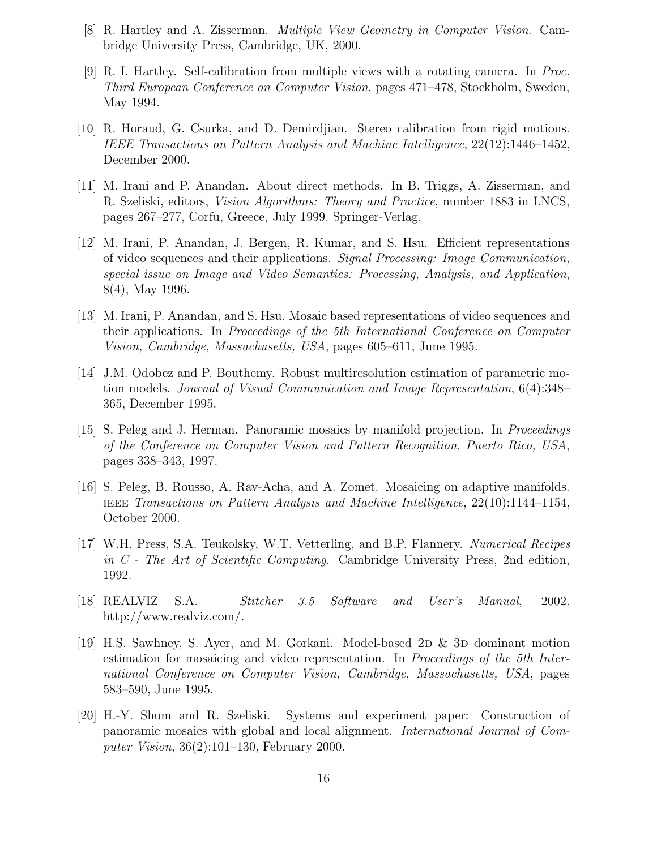- [8] R. Hartley and A. Zisserman. *Multiple View Geometry in Computer Vision*. Cambridge University Press, Cambridge, UK, 2000.
- [9] R. I. Hartley. Self-calibration from multiple views with a rotating camera. In *Proc. Third European Conference on Computer Vision*, pages 471–478, Stockholm, Sweden, May 1994.
- [10] R. Horaud, G. Csurka, and D. Demirdjian. Stereo calibration from rigid motions. *IEEE Transactions on Pattern Analysis and Machine Intelligence*, 22(12):1446–1452, December 2000.
- [11] M. Irani and P. Anandan. About direct methods. In B. Triggs, A. Zisserman, and R. Szeliski, editors, *Vision Algorithms: Theory and Practice*, number 1883 in LNCS, pages 267–277, Corfu, Greece, July 1999. Springer-Verlag.
- [12] M. Irani, P. Anandan, J. Bergen, R. Kumar, and S. Hsu. Efficient representations of video sequences and their applications. *Signal Processing: Image Communication, special issue on Image and Video Semantics: Processing, Analysis, and Application*, 8(4), May 1996.
- [13] M. Irani, P. Anandan, and S. Hsu. Mosaic based representations of video sequences and their applications. In *Proceedings of the 5th International Conference on Computer Vision, Cambridge, Massachusetts, USA*, pages 605–611, June 1995.
- [14] J.M. Odobez and P. Bouthemy. Robust multiresolution estimation of parametric motion models. *Journal of Visual Communication and Image Representation*, 6(4):348– 365, December 1995.
- [15] S. Peleg and J. Herman. Panoramic mosaics by manifold projection. In *Proceedings of the Conference on Computer Vision and Pattern Recognition, Puerto Rico, USA*, pages 338–343, 1997.
- [16] S. Peleg, B. Rousso, A. Rav-Acha, and A. Zomet. Mosaicing on adaptive manifolds. ieee *Transactions on Pattern Analysis and Machine Intelligence*, 22(10):1144–1154, October 2000.
- [17] W.H. Press, S.A. Teukolsky, W.T. Vetterling, and B.P. Flannery. *Numerical Recipes in C - The Art of Scientific Computing*. Cambridge University Press, 2nd edition, 1992.
- [18] REALVIZ S.A. *Stitcher 3.5 Software and User's Manual*, 2002. http://www.realviz.com/.
- [19] H.S. Sawhney, S. Ayer, and M. Gorkani. Model-based  $2D \& 3D$  dominant motion estimation for mosaicing and video representation. In *Proceedings of the 5th International Conference on Computer Vision, Cambridge, Massachusetts, USA*, pages 583–590, June 1995.
- [20] H.-Y. Shum and R. Szeliski. Systems and experiment paper: Construction of panoramic mosaics with global and local alignment. *International Journal of Computer Vision*, 36(2):101–130, February 2000.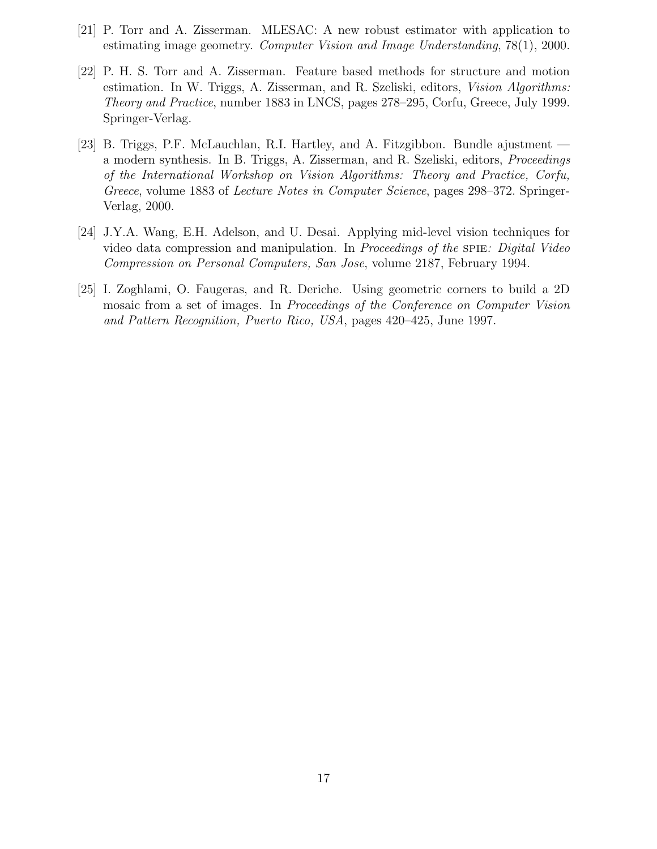- [21] P. Torr and A. Zisserman. MLESAC: A new robust estimator with application to estimating image geometry. *Computer Vision and Image Understanding*, 78(1), 2000.
- [22] P. H. S. Torr and A. Zisserman. Feature based methods for structure and motion estimation. In W. Triggs, A. Zisserman, and R. Szeliski, editors, *Vision Algorithms: Theory and Practice*, number 1883 in LNCS, pages 278–295, Corfu, Greece, July 1999. Springer-Verlag.
- [23] B. Triggs, P.F. McLauchlan, R.I. Hartley, and A. Fitzgibbon. Bundle ajustment a modern synthesis. In B. Triggs, A. Zisserman, and R. Szeliski, editors, *Proceedings of the International Workshop on Vision Algorithms: Theory and Practice, Corfu, Greece*, volume 1883 of *Lecture Notes in Computer Science*, pages 298–372. Springer-Verlag, 2000.
- [24] J.Y.A. Wang, E.H. Adelson, and U. Desai. Applying mid-level vision techniques for video data compression and manipulation. In *Proceedings of the* spie*: Digital Video Compression on Personal Computers, San Jose*, volume 2187, February 1994.
- [25] I. Zoghlami, O. Faugeras, and R. Deriche. Using geometric corners to build a 2D mosaic from a set of images. In *Proceedings of the Conference on Computer Vision and Pattern Recognition, Puerto Rico, USA*, pages 420–425, June 1997.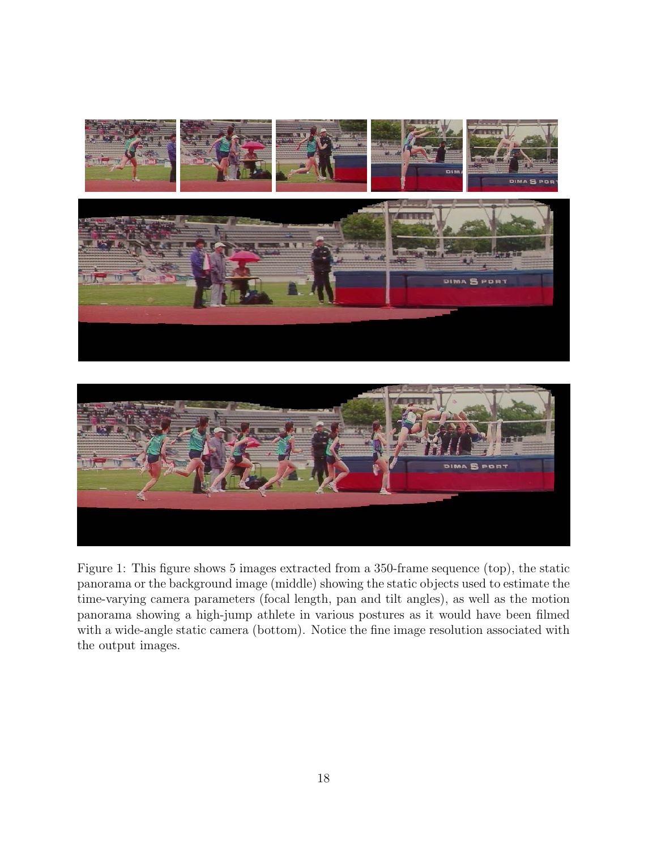



Figure 1: This figure shows 5 images extracted from a 350-frame sequence (top), the static panorama or the background image (middle) showing the static objects used to estimate the time-varying camera parameters (focal length, pan and tilt angles), as well as the motion panorama showing a high-jump athlete in various postures as it would have been filmed with a wide-angle static camera (bottom). Notice the fine image resolution associated with the output images.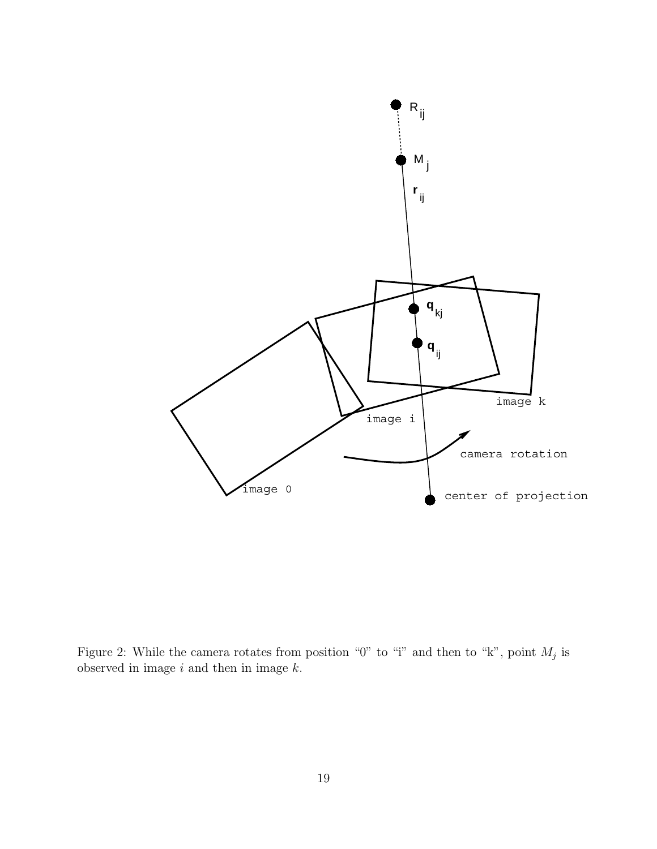

Figure 2: While the camera rotates from position "0" to "i" and then to "k", point  $M_i$  is observed in image  $i$  and then in image  $k$ .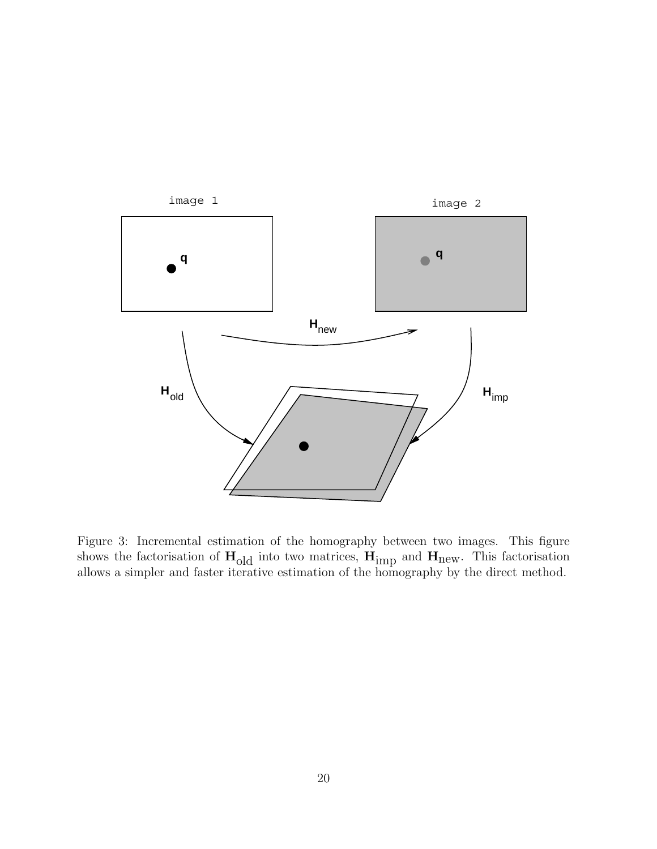

Figure 3: Incremental estimation of the homography between two images. This figure shows the factorisation of **H**old into two matrices, **H**imp and **H**new. This factorisation allows a simpler and faster iterative estimation of the homography by the direct method.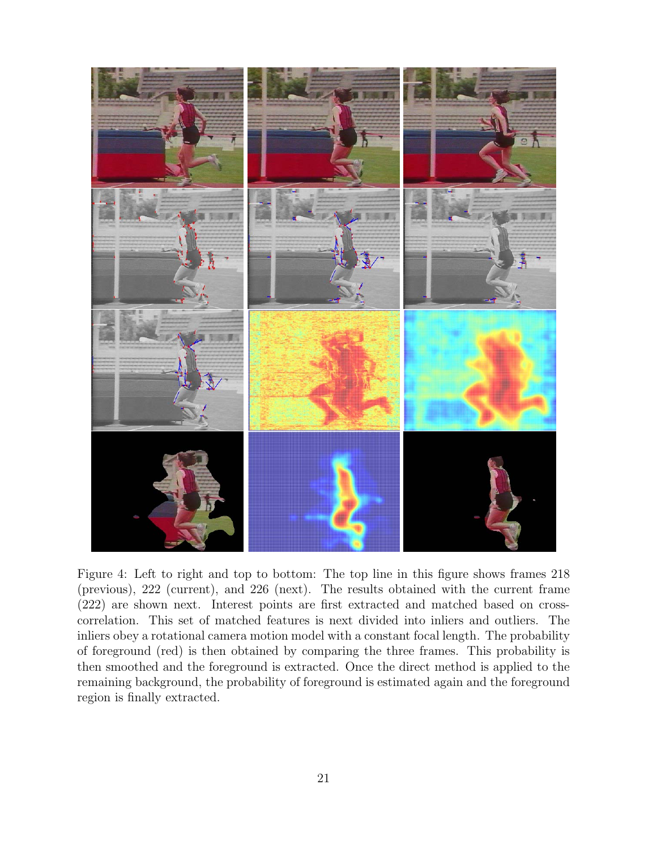

Figure 4: Left to right and top to bottom: The top line in this figure shows frames 218 (previous), 222 (current), and 226 (next). The results obtained with the current frame (222) are shown next. Interest points are first extracted and matched based on crosscorrelation. This set of matched features is next divided into inliers and outliers. The inliers obey a rotational camera motion model with a constant focal length. The probability of foreground (red) is then obtained by comparing the three frames. This probability is then smoothed and the foreground is extracted. Once the direct method is applied to the remaining background, the probability of foreground is estimated again and the foreground region is finally extracted.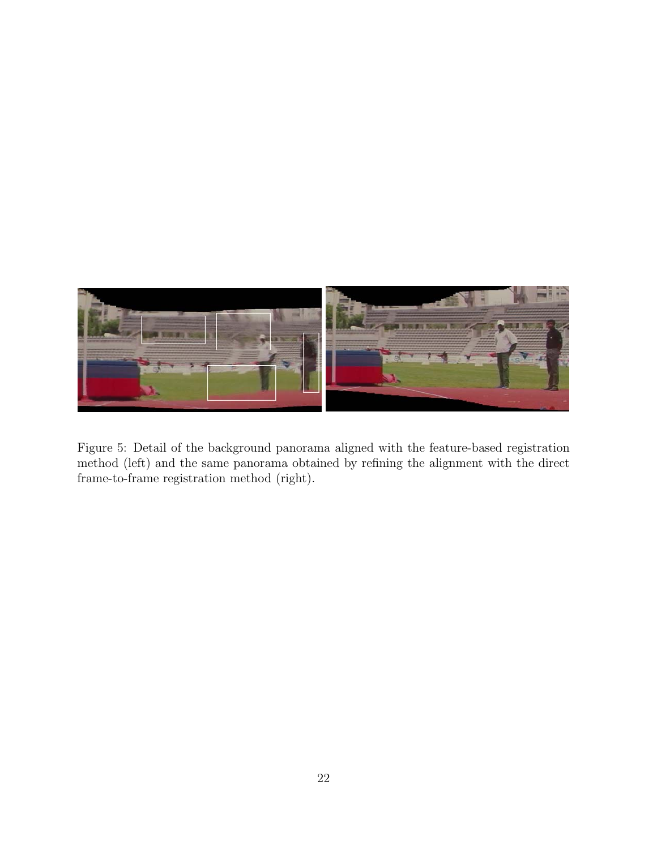

Figure 5: Detail of the background panorama aligned with the feature-based registration method (left) and the same panorama obtained by refining the alignment with the direct frame-to-frame registration method (right).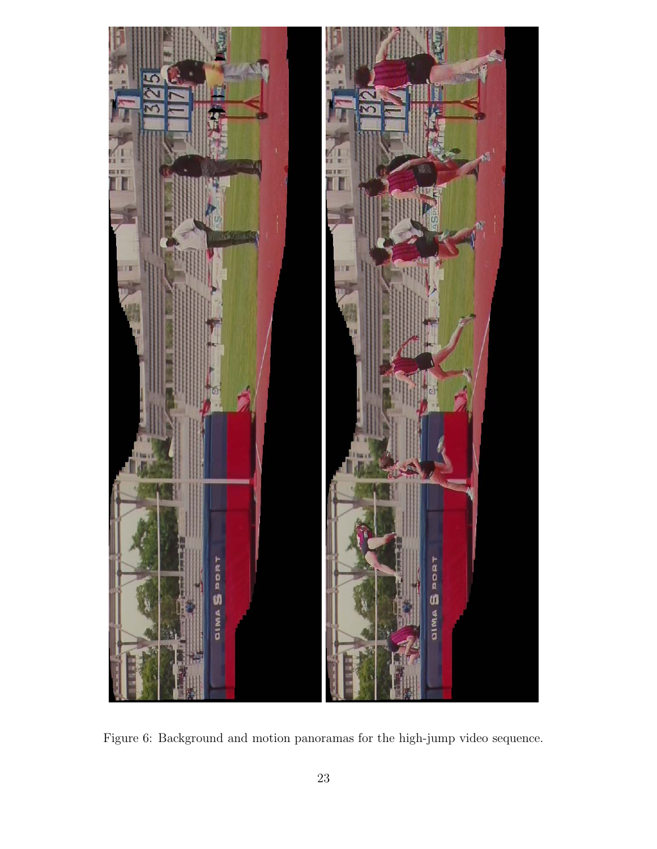

Figure 6: Background and motion panoramas for the high-jump video sequence.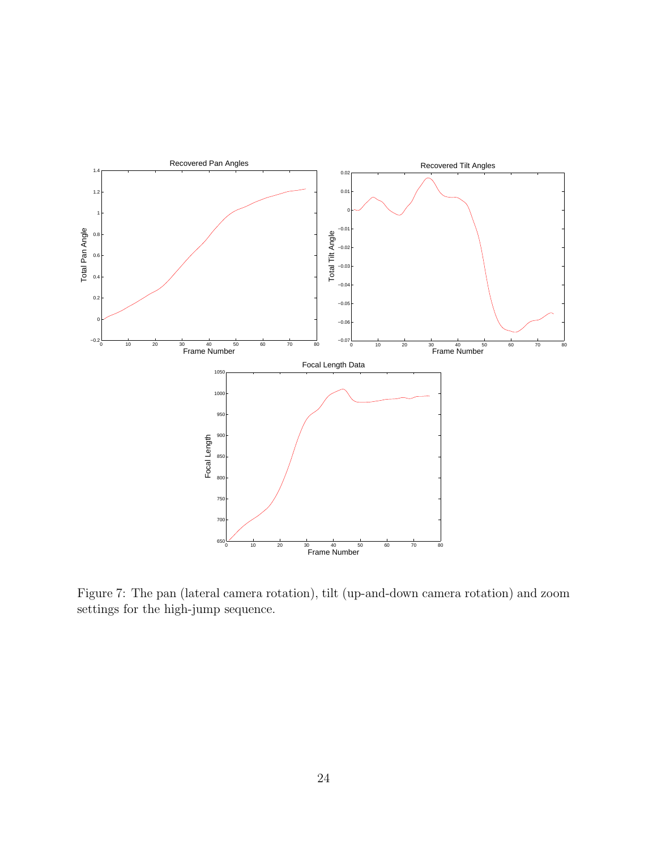

Figure 7: The pan (lateral camera rotation), tilt (up-and-down camera rotation) and zoom settings for the high-jump sequence.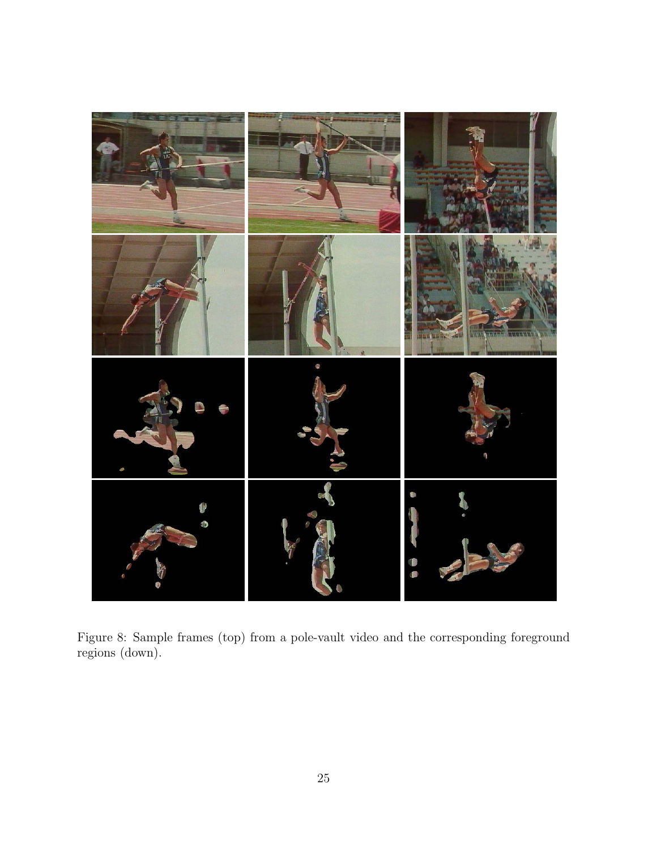

Figure 8: Sample frames (top) from a pole-vault video and the corresponding foreground regions (down).